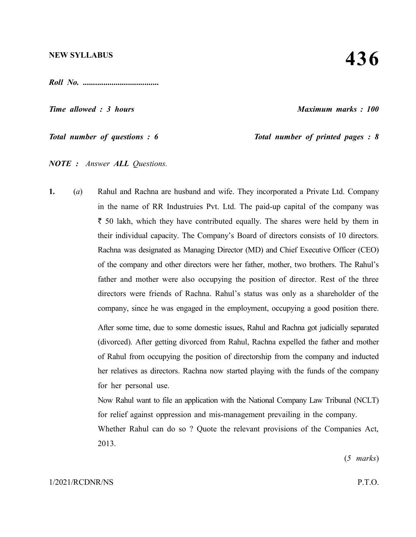*Roll No. .....................................*

*Time allowed : 3 hours Maximum marks : 100*

*Total number of questions : 6* Total number of printed pages : 8

*NOTE : Answer ALL Questions.*

**1.** (*a*) Rahul and Rachna are husband and wife. They incorporated a Private Ltd. Company in the name of RR Industruies Pvt. Ltd. The paid-up capital of the company was  $\bar{\tau}$  50 lakh, which they have contributed equally. The shares were held by them in their individual capacity. The Company's Board of directors consists of 10 directors. Rachna was designated as Managing Director (MD) and Chief Executive Officer (CEO) of the company and other directors were her father, mother, two brothers. The Rahul's father and mother were also occupying the position of director. Rest of the three directors were friends of Rachna. Rahul's status was only as a shareholder of the company, since he was engaged in the employment, occupying a good position there.

> After some time, due to some domestic issues, Rahul and Rachna got judicially separated (divorced). After getting divorced from Rahul, Rachna expelled the father and mother of Rahul from occupying the position of directorship from the company and inducted her relatives as directors. Rachna now started playing with the funds of the company for her personal use.

> Now Rahul want to file an application with the National Company Law Tribunal (NCLT) for relief against oppression and mis-management prevailing in the company.

> Whether Rahul can do so ? Quote the relevant provisions of the Companies Act, 2013.

> > (*5 marks*)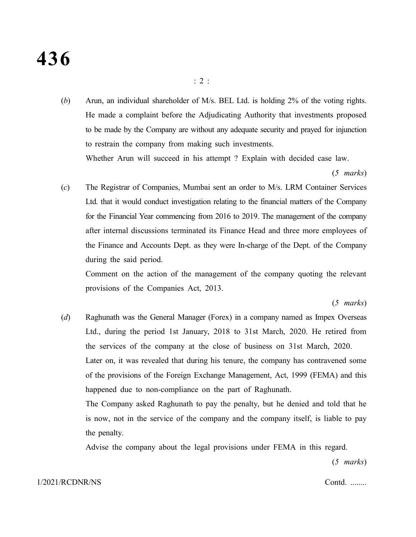# **436**

(*b*) Arun, an individual shareholder of M/s. BEL Ltd. is holding 2% of the voting rights. He made a complaint before the Adjudicating Authority that investments proposed to be made by the Company are without any adequate security and prayed for injunction to restrain the company from making such investments.

Whether Arun will succeed in his attempt ? Explain with decided case law.

(*5 marks*)

(*c*) The Registrar of Companies, Mumbai sent an order to M/s. LRM Container Services Ltd. that it would conduct investigation relating to the financial matters of the Company for the Financial Year commencing from 2016 to 2019. The management of the company after internal discussions terminated its Finance Head and three more employees of the Finance and Accounts Dept. as they were In-charge of the Dept. of the Company during the said period.

Comment on the action of the management of the company quoting the relevant provisions of the Companies Act, 2013.

(*5 marks*)

(*d*) Raghunath was the General Manager (Forex) in a company named as Impex Overseas Ltd., during the period 1st January, 2018 to 31st March, 2020. He retired from the services of the company at the close of business on 31st March, 2020. Later on, it was revealed that during his tenure, the company has contravened some of the provisions of the Foreign Exchange Management, Act, 1999 (FEMA) and this happened due to non-compliance on the part of Raghunath. The Company asked Raghunath to pay the penalty, but he denied and told that he

is now, not in the service of the company and the company itself, is liable to pay the penalty.

Advise the company about the legal provisions under FEMA in this regard.

(*5 marks*)

### 1/2021/RCDNR/NS Contd. ........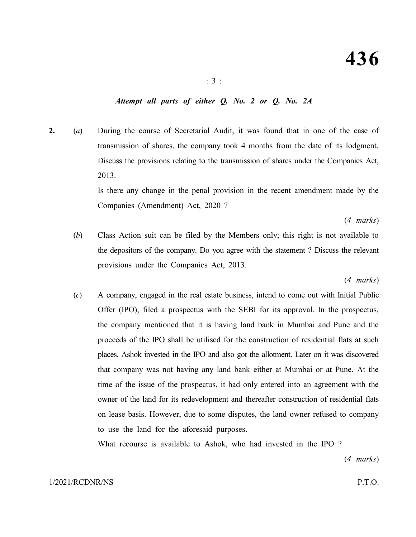### *Attempt all parts of either Q. No. 2 or Q. No. 2A*

**2.** (*a*) During the course of Secretarial Audit, it was found that in one of the case of transmission of shares, the company took 4 months from the date of its lodgment. Discuss the provisions relating to the transmission of shares under the Companies Act, 2013.

> Is there any change in the penal provision in the recent amendment made by the Companies (Amendment) Act, 2020 ?

> > (*4 marks*)

(*b*) Class Action suit can be filed by the Members only; this right is not available to the depositors of the company. Do you agree with the statement ? Discuss the relevant provisions under the Companies Act, 2013.

(*4 marks*)

(*c*) A company, engaged in the real estate business, intend to come out with Initial Public Offer (IPO), filed a prospectus with the SEBI for its approval. In the prospectus, the company mentioned that it is having land bank in Mumbai and Pune and the proceeds of the IPO shall be utilised for the construction of residential flats at such places. Ashok invested in the IPO and also got the allotment. Later on it was discovered that company was not having any land bank either at Mumbai or at Pune. At the time of the issue of the prospectus, it had only entered into an agreement with the owner of the land for its redevelopment and thereafter construction of residential flats on lease basis. However, due to some disputes, the land owner refused to company to use the land for the aforesaid purposes.

What recourse is available to Ashok, who had invested in the IPO ?

(*4 marks*)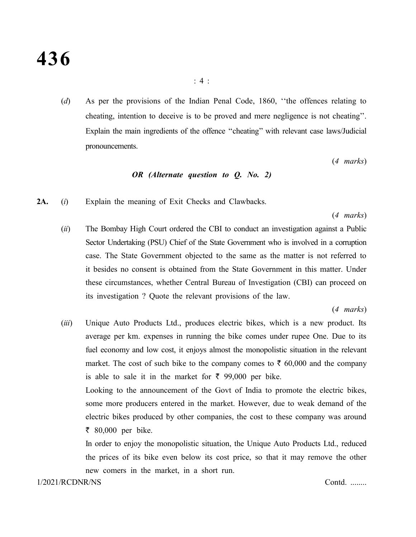(*d*) As per the provisions of the Indian Penal Code, 1860, ''the offences relating to cheating, intention to deceive is to be proved and mere negligence is not cheating''. Explain the main ingredients of the offence ''cheating'' with relevant case laws/Judicial pronouncements.

(*4 marks*)

### *OR (Alternate question to Q. No. 2)*

**2A.** (*i*) Explain the meaning of Exit Checks and Clawbacks.

(*4 marks*)

(*ii*) The Bombay High Court ordered the CBI to conduct an investigation against a Public Sector Undertaking (PSU) Chief of the State Government who is involved in a corruption case. The State Government objected to the same as the matter is not referred to it besides no consent is obtained from the State Government in this matter. Under these circumstances, whether Central Bureau of Investigation (CBI) can proceed on its investigation ? Quote the relevant provisions of the law.

(*4 marks*)

(*iii*) Unique Auto Products Ltd., produces electric bikes, which is a new product. Its average per km. expenses in running the bike comes under rupee One. Due to its fuel economy and low cost, it enjoys almost the monopolistic situation in the relevant market. The cost of such bike to the company comes to  $\bar{\tau}$  60,000 and the company is able to sale it in the market for  $\bar{\tau}$  99,000 per bike.

Looking to the announcement of the Govt of India to promote the electric bikes, some more producers entered in the market. However, due to weak demand of the electric bikes produced by other companies, the cost to these company was around  $\bar{z}$  80,000 per bike.

In order to enjoy the monopolistic situation, the Unique Auto Products Ltd., reduced the prices of its bike even below its cost price, so that it may remove the other new comers in the market, in a short run.

1/2021/RCDNR/NS Contd. ........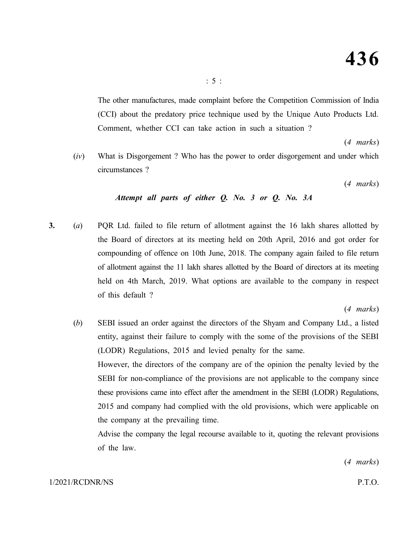The other manufactures, made complaint before the Competition Commission of India (CCI) about the predatory price technique used by the Unique Auto Products Ltd. Comment, whether CCI can take action in such a situation ?

(*4 marks*)

(*iv*) What is Disgorgement ? Who has the power to order disgorgement and under which circumstances ?

(*4 marks*)

### *Attempt all parts of either Q. No. 3 or Q. No. 3A*

**3.** (*a*) PQR Ltd. failed to file return of allotment against the 16 lakh shares allotted by the Board of directors at its meeting held on 20th April, 2016 and got order for compounding of offence on 10th June, 2018. The company again failed to file return of allotment against the 11 lakh shares allotted by the Board of directors at its meeting held on 4th March, 2019. What options are available to the company in respect of this default ?

(*4 marks*)

(*b*) SEBI issued an order against the directors of the Shyam and Company Ltd., a listed entity, against their failure to comply with the some of the provisions of the SEBI (LODR) Regulations, 2015 and levied penalty for the same. However, the directors of the company are of the opinion the penalty levied by the SEBI for non-compliance of the provisions are not applicable to the company since these provisions came into effect after the amendment in the SEBI (LODR) Regulations, 2015 and company had complied with the old provisions, which were applicable on the company at the prevailing time.

Advise the company the legal recourse available to it, quoting the relevant provisions of the law.

(*4 marks*)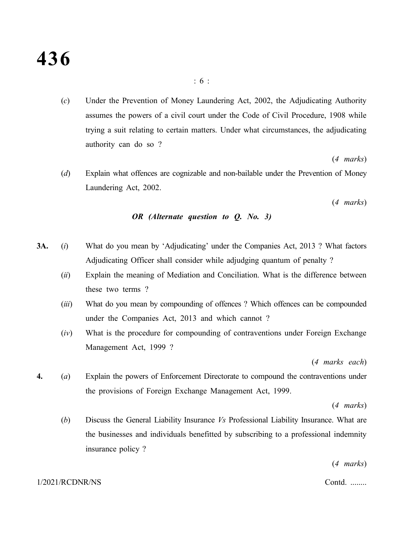# **436**

(*c*) Under the Prevention of Money Laundering Act, 2002, the Adjudicating Authority assumes the powers of a civil court under the Code of Civil Procedure, 1908 while trying a suit relating to certain matters. Under what circumstances, the adjudicating authority can do so ?

(*4 marks*)

(*d*) Explain what offences are cognizable and non-bailable under the Prevention of Money Laundering Act, 2002.

(*4 marks*)

### *OR (Alternate question to Q. No. 3)*

- **3A.** (*i*) What do you mean by 'Adjudicating' under the Companies Act, 2013 ? What factors Adjudicating Officer shall consider while adjudging quantum of penalty ?
	- (*ii*) Explain the meaning of Mediation and Conciliation. What is the difference between these two terms ?
	- (*iii*) What do you mean by compounding of offences ? Which offences can be compounded under the Companies Act, 2013 and which cannot ?
	- (*iv*) What is the procedure for compounding of contraventions under Foreign Exchange Management Act, 1999 ?

(*4 marks each*)

**4.** (*a*) Explain the powers of Enforcement Directorate to compound the contraventions under the provisions of Foreign Exchange Management Act, 1999.

(*4 marks*)

(*b*) Discuss the General Liability Insurance *Vs* Professional Liability Insurance. What are the businesses and individuals benefitted by subscribing to a professional indemnity insurance policy ?

(*4 marks*)

### 1/2021/RCDNR/NS Contd. ........

### : 6 :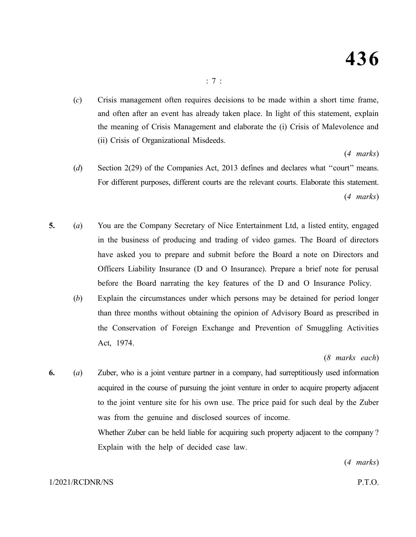(*c*) Crisis management often requires decisions to be made within a short time frame, and often after an event has already taken place. In light of this statement, explain the meaning of Crisis Management and elaborate the (i) Crisis of Malevolence and (ii) Crisis of Organizational Misdeeds.

### (*4 marks*)

- (*d*) Section 2(29) of the Companies Act, 2013 defines and declares what ''court'' means. For different purposes, different courts are the relevant courts. Elaborate this statement. (*4 marks*)
- **5.** (*a*) You are the Company Secretary of Nice Entertainment Ltd, a listed entity, engaged in the business of producing and trading of video games. The Board of directors have asked you to prepare and submit before the Board a note on Directors and Officers Liability Insurance (D and O Insurance). Prepare a brief note for perusal before the Board narrating the key features of the D and O Insurance Policy.
	- (*b*) Explain the circumstances under which persons may be detained for period longer than three months without obtaining the opinion of Advisory Board as prescribed in the Conservation of Foreign Exchange and Prevention of Smuggling Activities Act, 1974.

(*8 marks each*)

**6.** (*a*) Zuber, who is a joint venture partner in a company, had surreptitiously used information acquired in the course of pursuing the joint venture in order to acquire property adjacent to the joint venture site for his own use. The price paid for such deal by the Zuber was from the genuine and disclosed sources of income. Whether Zuber can be held liable for acquiring such property adjacent to the company ? Explain with the help of decided case law.

(*4 marks*)